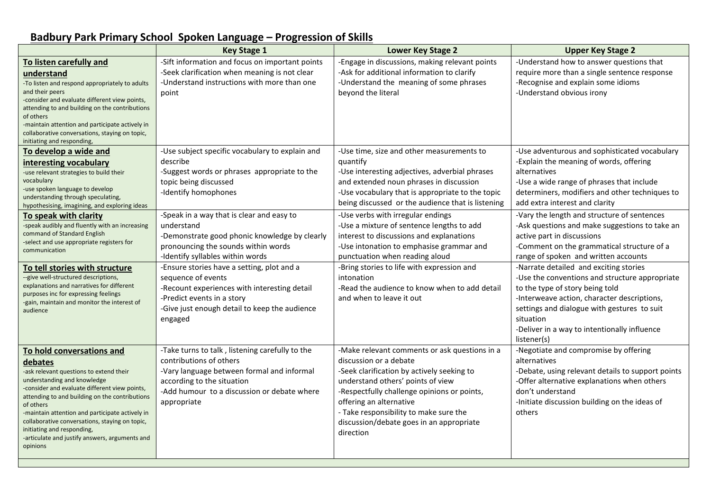## **Badbury Park Primary School Spoken Language – Progression of Skills**

|                                                                                                                                                                                                                                                                                                                                                                                                                                 | <b>Key Stage 1</b>                                                                                                                                                                                                   | Lower Key Stage 2                                                                                                                                                                                                                                                                                                                       | <b>Upper Key Stage 2</b>                                                                                                                                                                                                                                                                              |
|---------------------------------------------------------------------------------------------------------------------------------------------------------------------------------------------------------------------------------------------------------------------------------------------------------------------------------------------------------------------------------------------------------------------------------|----------------------------------------------------------------------------------------------------------------------------------------------------------------------------------------------------------------------|-----------------------------------------------------------------------------------------------------------------------------------------------------------------------------------------------------------------------------------------------------------------------------------------------------------------------------------------|-------------------------------------------------------------------------------------------------------------------------------------------------------------------------------------------------------------------------------------------------------------------------------------------------------|
| To listen carefully and<br>understand<br>-To listen and respond appropriately to adults<br>and their peers<br>-consider and evaluate different view points,<br>attending to and building on the contributions<br>of others<br>-maintain attention and participate actively in<br>collaborative conversations, staying on topic,<br>initiating and responding,                                                                   | -Sift information and focus on important points<br>-Seek clarification when meaning is not clear<br>-Understand instructions with more than one<br>point                                                             | -Engage in discussions, making relevant points<br>-Ask for additional information to clarify<br>-Understand the meaning of some phrases<br>beyond the literal                                                                                                                                                                           | -Understand how to answer questions that<br>require more than a single sentence response<br>-Recognise and explain some idioms<br>-Understand obvious irony                                                                                                                                           |
| To develop a wide and<br>interesting vocabulary<br>-use relevant strategies to build their<br>vocabulary<br>-use spoken language to develop<br>understanding through speculating,<br>hypothesising, imagining, and exploring ideas                                                                                                                                                                                              | -Use subject specific vocabulary to explain and<br>describe<br>-Suggest words or phrases appropriate to the<br>topic being discussed<br>-Identify homophones                                                         | -Use time, size and other measurements to<br>quantify<br>-Use interesting adjectives, adverbial phrases<br>and extended noun phrases in discussion<br>-Use vocabulary that is appropriate to the topic<br>being discussed or the audience that is listening                                                                             | -Use adventurous and sophisticated vocabulary<br>-Explain the meaning of words, offering<br>alternatives<br>-Use a wide range of phrases that include<br>determiners, modifiers and other techniques to<br>add extra interest and clarity                                                             |
| To speak with clarity<br>-speak audibly and fluently with an increasing<br>command of Standard English<br>-select and use appropriate registers for<br>communication                                                                                                                                                                                                                                                            | -Speak in a way that is clear and easy to<br>understand<br>-Demonstrate good phonic knowledge by clearly<br>pronouncing the sounds within words<br>-Identify syllables within words                                  | -Use verbs with irregular endings<br>-Use a mixture of sentence lengths to add<br>interest to discussions and explanations<br>-Use intonation to emphasise grammar and<br>punctuation when reading aloud                                                                                                                                | -Vary the length and structure of sentences<br>-Ask questions and make suggestions to take an<br>active part in discussions<br>-Comment on the grammatical structure of a<br>range of spoken and written accounts                                                                                     |
| To tell stories with structure<br>--give well-structured descriptions,<br>explanations and narratives for different<br>purposes inc for expressing feelings<br>-gain, maintain and monitor the interest of<br>audience                                                                                                                                                                                                          | -Ensure stories have a setting, plot and a<br>sequence of events<br>-Recount experiences with interesting detail<br>-Predict events in a story<br>-Give just enough detail to keep the audience<br>engaged           | -Bring stories to life with expression and<br>intonation<br>-Read the audience to know when to add detail<br>and when to leave it out                                                                                                                                                                                                   | -Narrate detailed and exciting stories<br>-Use the conventions and structure appropriate<br>to the type of story being told<br>-Interweave action, character descriptions,<br>settings and dialogue with gestures to suit<br>situation<br>-Deliver in a way to intentionally influence<br>listener(s) |
| To hold conversations and<br>debates<br>-ask relevant questions to extend their<br>understanding and knowledge<br>-consider and evaluate different view points,<br>attending to and building on the contributions<br>of others<br>-maintain attention and participate actively in<br>collaborative conversations, staying on topic,<br>initiating and responding,<br>-articulate and justify answers, arguments and<br>opinions | -Take turns to talk, listening carefully to the<br>contributions of others<br>-Vary language between formal and informal<br>according to the situation<br>-Add humour to a discussion or debate where<br>appropriate | -Make relevant comments or ask questions in a<br>discussion or a debate<br>-Seek clarification by actively seeking to<br>understand others' points of view<br>-Respectfully challenge opinions or points,<br>offering an alternative<br>- Take responsibility to make sure the<br>discussion/debate goes in an appropriate<br>direction | -Negotiate and compromise by offering<br>alternatives<br>-Debate, using relevant details to support points<br>-Offer alternative explanations when others<br>don't understand<br>-Initiate discussion building on the ideas of<br>others                                                              |